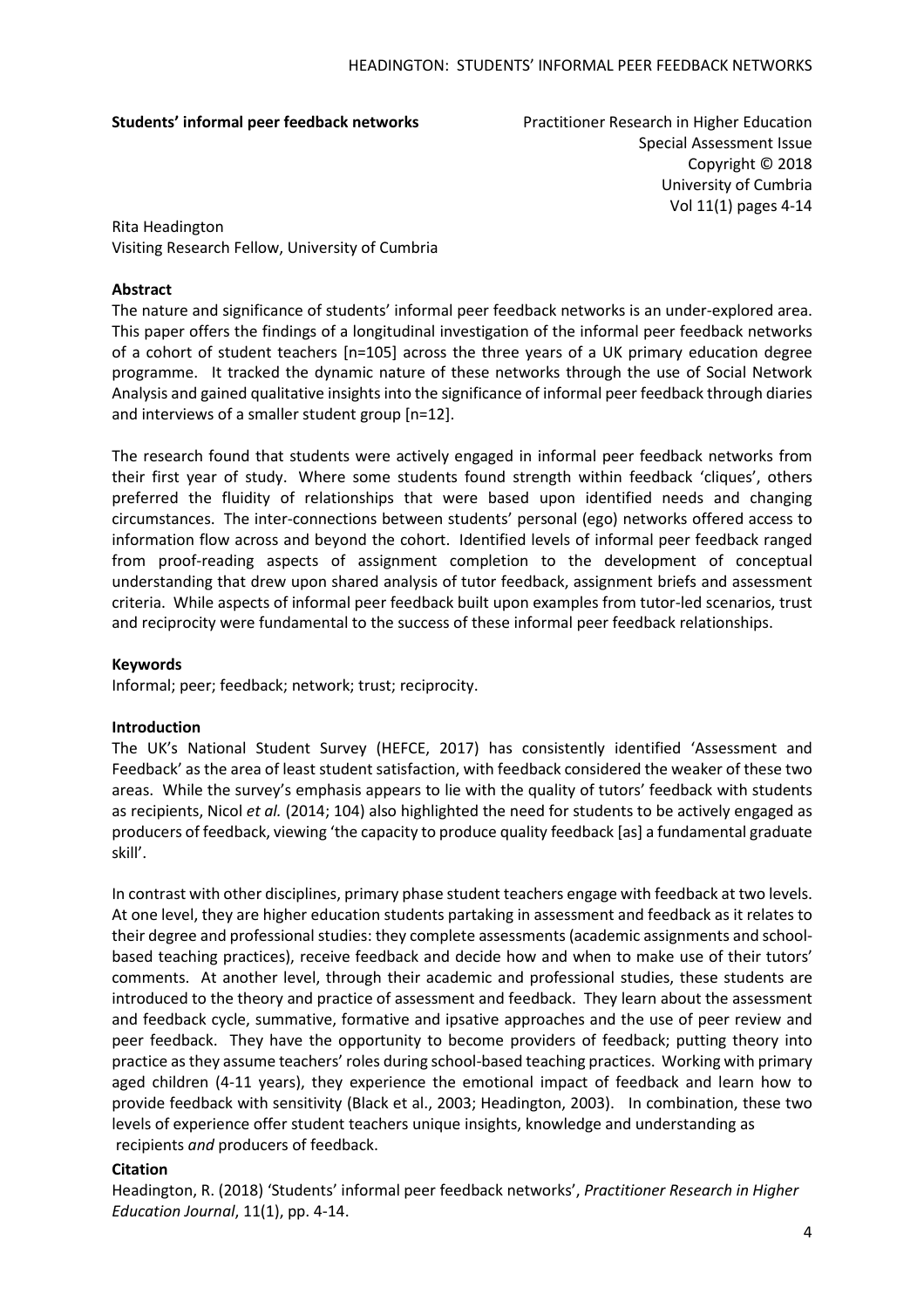**Students' informal peer feedback networks** Practitioner Research in Higher Education

Special Assessment Issue Copyright © 2018 University of Cumbria Vol 11(1) pages 4-14

Rita Headington Visiting Research Fellow, University of Cumbria

# **Abstract**

The nature and significance of students' informal peer feedback networks is an under-explored area. This paper offers the findings of a longitudinal investigation of the informal peer feedback networks of a cohort of student teachers [n=105] across the three years of a UK primary education degree programme. It tracked the dynamic nature of these networks through the use of Social Network Analysis and gained qualitative insights into the significance of informal peer feedback through diaries and interviews of a smaller student group [n=12].

The research found that students were actively engaged in informal peer feedback networks from their first year of study. Where some students found strength within feedback 'cliques', others preferred the fluidity of relationships that were based upon identified needs and changing circumstances. The inter-connections between students' personal (ego) networks offered access to information flow across and beyond the cohort. Identified levels of informal peer feedback ranged from proof-reading aspects of assignment completion to the development of conceptual understanding that drew upon shared analysis of tutor feedback, assignment briefs and assessment criteria. While aspects of informal peer feedback built upon examples from tutor-led scenarios, trust and reciprocity were fundamental to the success of these informal peer feedback relationships.

## **Keywords**

Informal; peer; feedback; network; trust; reciprocity.

## **Introduction**

The UK's National Student Survey (HEFCE, 2017) has consistently identified 'Assessment and Feedback' as the area of least student satisfaction, with feedback considered the weaker of these two areas. While the survey's emphasis appears to lie with the quality of tutors' feedback with students as recipients, Nicol *et al.* (2014; 104) also highlighted the need for students to be actively engaged as producers of feedback, viewing 'the capacity to produce quality feedback [as] a fundamental graduate skill'.

In contrast with other disciplines, primary phase student teachers engage with feedback at two levels. At one level, they are higher education students partaking in assessment and feedback as it relates to their degree and professional studies: they complete assessments(academic assignments and schoolbased teaching practices), receive feedback and decide how and when to make use of their tutors' comments. At another level, through their academic and professional studies, these students are introduced to the theory and practice of assessment and feedback. They learn about the assessment and feedback cycle, summative, formative and ipsative approaches and the use of peer review and peer feedback. They have the opportunity to become providers of feedback; putting theory into practice asthey assume teachers' roles during school-based teaching practices. Working with primary aged children (4-11 years), they experience the emotional impact of feedback and learn how to provide feedback with sensitivity (Black et al., 2003; Headington, 2003). In combination, these two levels of experience offer student teachers unique insights, knowledge and understanding as recipients *and* producers of feedback.

# **Citation**

Headington, R. (2018) 'Students' informal peer feedback networks', *Practitioner Research in Higher Education Journal*, 11(1), pp. 4-14.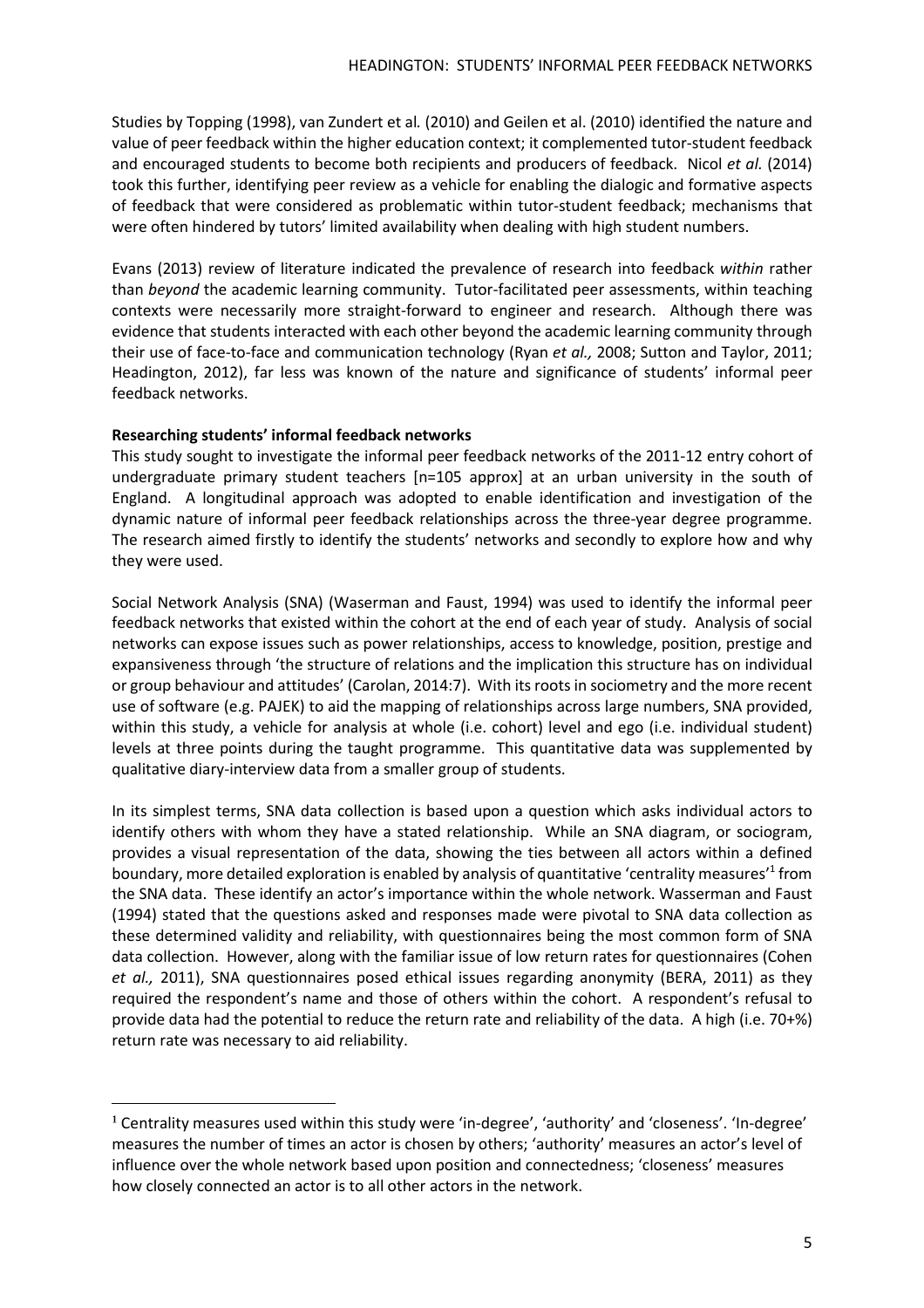Studies by Topping (1998), van Zundert et al*.* (2010) and Geilen et al. (2010) identified the nature and value of peer feedback within the higher education context; it complemented tutor-student feedback and encouraged students to become both recipients and producers of feedback. Nicol *et al.* (2014) took this further, identifying peer review as a vehicle for enabling the dialogic and formative aspects of feedback that were considered as problematic within tutor-student feedback; mechanisms that were often hindered by tutors' limited availability when dealing with high student numbers.

Evans (2013) review of literature indicated the prevalence of research into feedback *within* rather than *beyond* the academic learning community. Tutor-facilitated peer assessments, within teaching contexts were necessarily more straight-forward to engineer and research. Although there was evidence that students interacted with each other beyond the academic learning community through their use of face-to-face and communication technology (Ryan *et al.,* 2008; Sutton and Taylor, 2011; Headington, 2012), far less was known of the nature and significance of students' informal peer feedback networks.

# **Researching students' informal feedback networks**

 $\overline{a}$ 

This study sought to investigate the informal peer feedback networks of the 2011-12 entry cohort of undergraduate primary student teachers [n=105 approx] at an urban university in the south of England. A longitudinal approach was adopted to enable identification and investigation of the dynamic nature of informal peer feedback relationships across the three-year degree programme. The research aimed firstly to identify the students' networks and secondly to explore how and why they were used.

Social Network Analysis (SNA) (Waserman and Faust, 1994) was used to identify the informal peer feedback networks that existed within the cohort at the end of each year of study. Analysis of social networks can expose issues such as power relationships, access to knowledge, position, prestige and expansiveness through 'the structure of relations and the implication this structure has on individual or group behaviour and attitudes' (Carolan, 2014:7). With its roots in sociometry and the more recent use of software (e.g. PAJEK) to aid the mapping of relationships across large numbers, SNA provided, within this study, a vehicle for analysis at whole (i.e. cohort) level and ego (i.e. individual student) levels at three points during the taught programme. This quantitative data was supplemented by qualitative diary-interview data from a smaller group of students.

In its simplest terms, SNA data collection is based upon a question which asks individual actors to identify others with whom they have a stated relationship. While an SNA diagram, or sociogram, provides a visual representation of the data, showing the ties between all actors within a defined boundary, more detailed exploration is enabled by analysis of quantitative 'centrality measures'<sup>1</sup> from the SNA data. These identify an actor's importance within the whole network. Wasserman and Faust (1994) stated that the questions asked and responses made were pivotal to SNA data collection as these determined validity and reliability, with questionnaires being the most common form of SNA data collection. However, along with the familiar issue of low return rates for questionnaires (Cohen *et al.,* 2011), SNA questionnaires posed ethical issues regarding anonymity (BERA, 2011) as they required the respondent's name and those of others within the cohort. A respondent's refusal to provide data had the potential to reduce the return rate and reliability of the data. A high (i.e. 70+%) return rate was necessary to aid reliability.

<sup>&</sup>lt;sup>1</sup> Centrality measures used within this study were 'in-degree', 'authority' and 'closeness'. 'In-degree' measures the number of times an actor is chosen by others; 'authority' measures an actor's level of influence over the whole network based upon position and connectedness; 'closeness' measures how closely connected an actor is to all other actors in the network.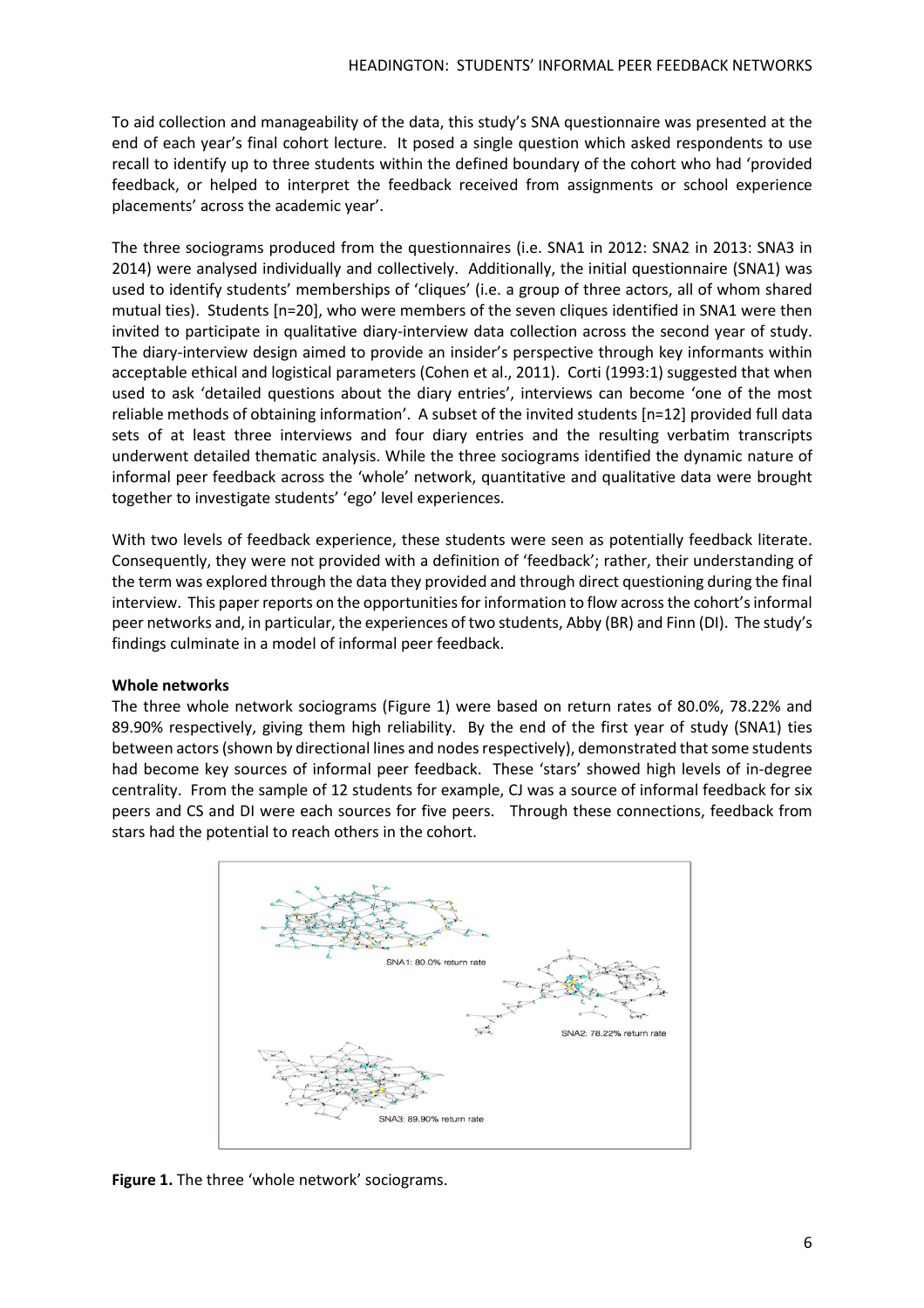To aid collection and manageability of the data, this study's SNA questionnaire was presented at the end of each year's final cohort lecture. It posed a single question which asked respondents to use recall to identify up to three students within the defined boundary of the cohort who had 'provided feedback, or helped to interpret the feedback received from assignments or school experience placements' across the academic year'.

The three sociograms produced from the questionnaires (i.e. SNA1 in 2012: SNA2 in 2013: SNA3 in 2014) were analysed individually and collectively. Additionally, the initial questionnaire (SNA1) was used to identify students' memberships of 'cliques' (i.e. a group of three actors, all of whom shared mutual ties). Students [n=20], who were members of the seven cliques identified in SNA1 were then invited to participate in qualitative diary-interview data collection across the second year of study. The diary-interview design aimed to provide an insider's perspective through key informants within acceptable ethical and logistical parameters (Cohen et al., 2011). Corti (1993:1) suggested that when used to ask 'detailed questions about the diary entries', interviews can become 'one of the most reliable methods of obtaining information'. A subset of the invited students [n=12] provided full data sets of at least three interviews and four diary entries and the resulting verbatim transcripts underwent detailed thematic analysis. While the three sociograms identified the dynamic nature of informal peer feedback across the 'whole' network, quantitative and qualitative data were brought together to investigate students' 'ego' level experiences.

With two levels of feedback experience, these students were seen as potentially feedback literate. Consequently, they were not provided with a definition of 'feedback'; rather, their understanding of the term was explored through the data they provided and through direct questioning during the final interview. This paper reports on the opportunities for information to flow across the cohort's informal peer networks and, in particular, the experiences of two students, Abby (BR) and Finn (DI). The study's findings culminate in a model of informal peer feedback.

# **Whole networks**

The three whole network sociograms (Figure 1) were based on return rates of 80.0%, 78.22% and 89.90% respectively, giving them high reliability. By the end of the first year of study (SNA1) ties between actors (shown by directional lines and nodes respectively), demonstrated that some students had become key sources of informal peer feedback. These 'stars' showed high levels of in-degree centrality. From the sample of 12 students for example, CJ was a source of informal feedback for six peers and CS and DI were each sources for five peers. Through these connections, feedback from stars had the potential to reach others in the cohort.



**Figure 1.** The three 'whole network' sociograms.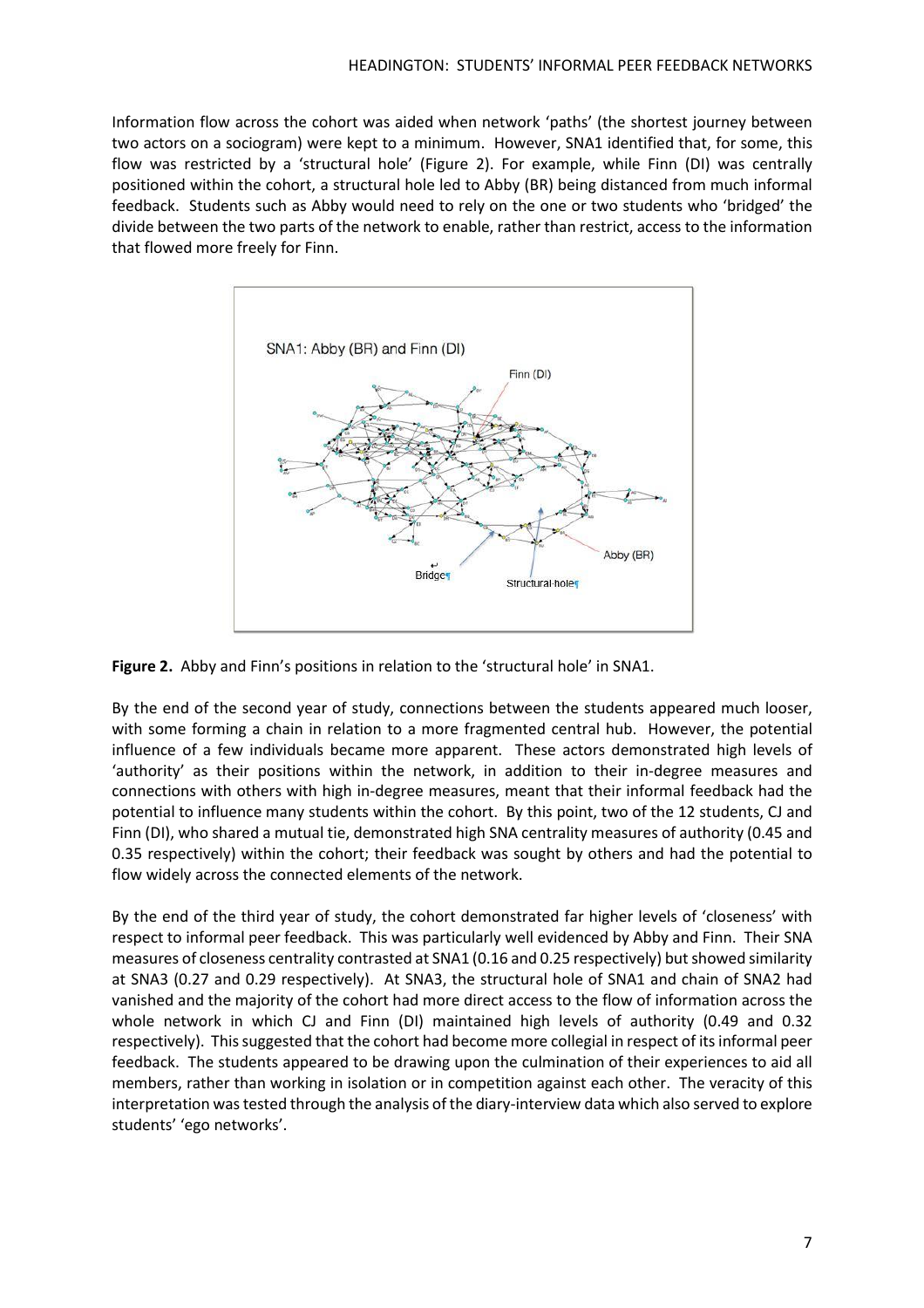Information flow across the cohort was aided when network 'paths' (the shortest journey between two actors on a sociogram) were kept to a minimum. However, SNA1 identified that, for some, this flow was restricted by a 'structural hole' (Figure 2). For example, while Finn (DI) was centrally positioned within the cohort, a structural hole led to Abby (BR) being distanced from much informal feedback. Students such as Abby would need to rely on the one or two students who 'bridged' the divide between the two parts of the network to enable, rather than restrict, access to the information that flowed more freely for Finn.



**Figure 2.** Abby and Finn's positions in relation to the 'structural hole' in SNA1.

By the end of the second year of study, connections between the students appeared much looser, with some forming a chain in relation to a more fragmented central hub. However, the potential influence of a few individuals became more apparent. These actors demonstrated high levels of 'authority' as their positions within the network, in addition to their in-degree measures and connections with others with high in-degree measures, meant that their informal feedback had the potential to influence many students within the cohort. By this point, two of the 12 students, CJ and Finn (DI), who shared a mutual tie, demonstrated high SNA centrality measures of authority (0.45 and 0.35 respectively) within the cohort; their feedback was sought by others and had the potential to flow widely across the connected elements of the network.

By the end of the third year of study, the cohort demonstrated far higher levels of 'closeness' with respect to informal peer feedback. This was particularly well evidenced by Abby and Finn. Their SNA measures of closeness centrality contrasted at SNA1 (0.16 and 0.25 respectively) but showed similarity at SNA3 (0.27 and 0.29 respectively). At SNA3, the structural hole of SNA1 and chain of SNA2 had vanished and the majority of the cohort had more direct access to the flow of information across the whole network in which CJ and Finn (DI) maintained high levels of authority (0.49 and 0.32 respectively). Thissuggested that the cohort had become more collegial in respect of itsinformal peer feedback. The students appeared to be drawing upon the culmination of their experiences to aid all members, rather than working in isolation or in competition against each other. The veracity of this interpretation wastested through the analysis of the diary-interview data which also served to explore students' 'ego networks'.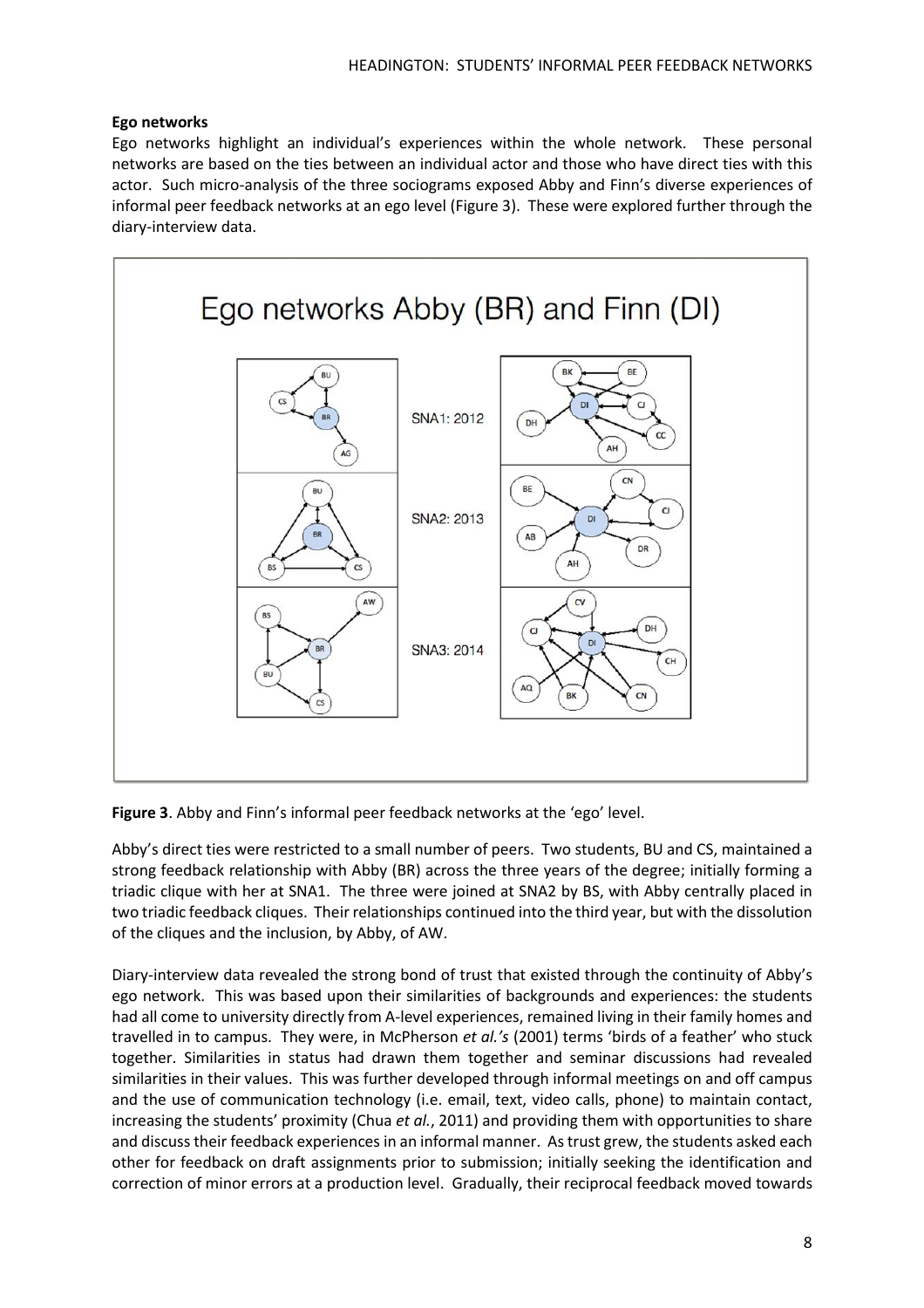# **Ego networks**

Ego networks highlight an individual's experiences within the whole network. These personal networks are based on the ties between an individual actor and those who have direct ties with this actor. Such micro-analysis of the three sociograms exposed Abby and Finn's diverse experiences of informal peer feedback networks at an ego level (Figure 3). These were explored further through the diary-interview data.



**Figure 3**. Abby and Finn's informal peer feedback networks at the 'ego' level.

Abby's direct ties were restricted to a small number of peers. Two students, BU and CS, maintained a strong feedback relationship with Abby (BR) across the three years of the degree; initially forming a triadic clique with her at SNA1. The three were joined at SNA2 by BS, with Abby centrally placed in two triadic feedback cliques. Their relationships continued into the third year, but with the dissolution of the cliques and the inclusion, by Abby, of AW.

Diary-interview data revealed the strong bond of trust that existed through the continuity of Abby's ego network. This was based upon their similarities of backgrounds and experiences: the students had all come to university directly from A-level experiences, remained living in their family homes and travelled in to campus. They were, in McPherson *et al.'s* (2001) terms 'birds of a feather' who stuck together. Similarities in status had drawn them together and seminar discussions had revealed similarities in their values. This was further developed through informal meetings on and off campus and the use of communication technology (i.e. email, text, video calls, phone) to maintain contact, increasing the students' proximity (Chua *et al.*, 2011) and providing them with opportunities to share and discuss their feedback experiences in an informal manner. Astrust grew, the students asked each other for feedback on draft assignments prior to submission; initially seeking the identification and correction of minor errors at a production level. Gradually, their reciprocal feedback moved towards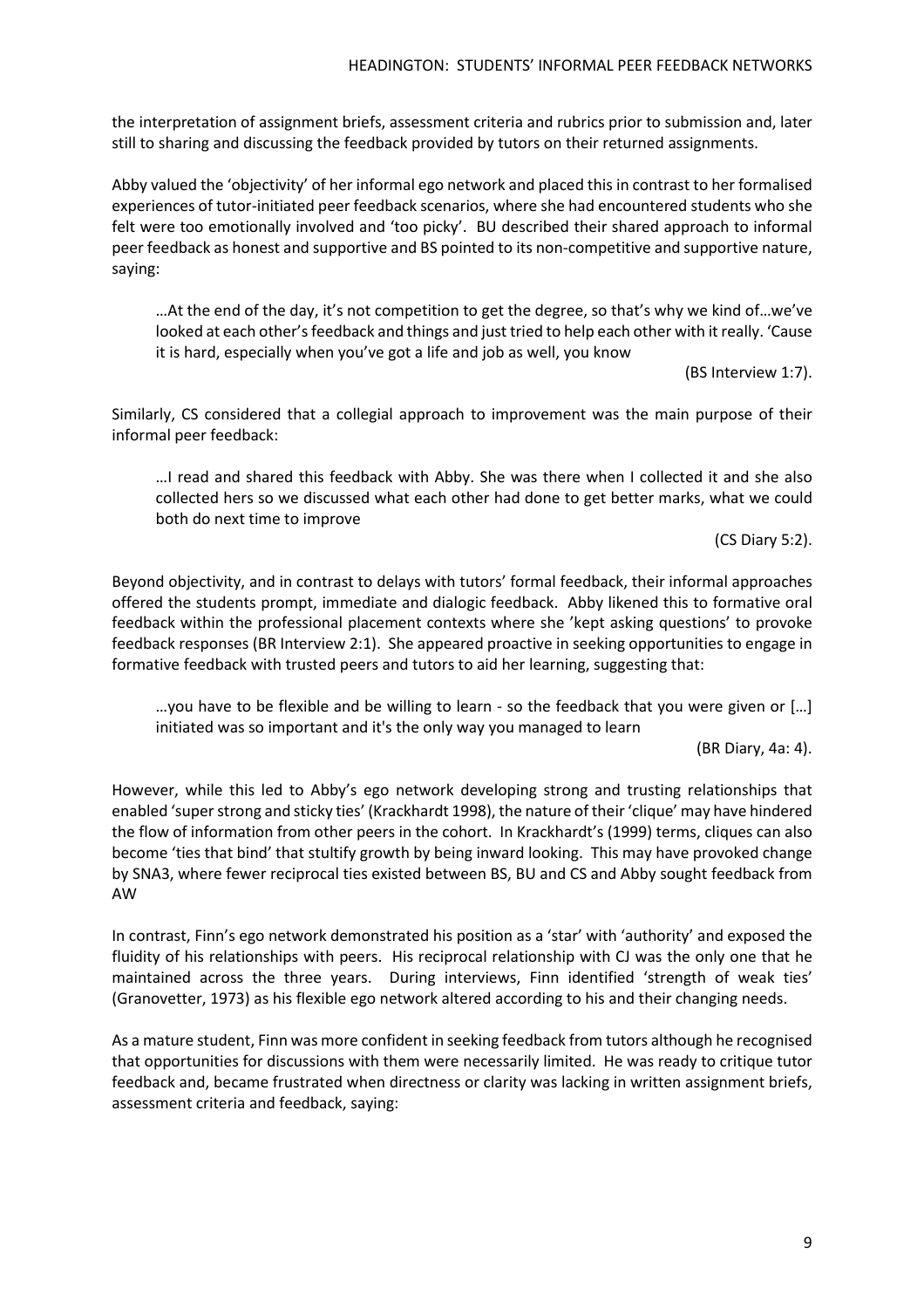the interpretation of assignment briefs, assessment criteria and rubrics prior to submission and, later still to sharing and discussing the feedback provided by tutors on their returned assignments.

Abby valued the 'objectivity' of her informal ego network and placed this in contrast to her formalised experiences of tutor-initiated peer feedback scenarios, where she had encountered students who she felt were too emotionally involved and 'too picky'. BU described their shared approach to informal peer feedback as honest and supportive and BS pointed to its non-competitive and supportive nature, saying:

…At the end of the day, it's not competition to get the degree, so that's why we kind of…we've looked at each other's feedback and things and just tried to help each other with it really. 'Cause it is hard, especially when you've got a life and job as well, you know

(BS Interview 1:7).

Similarly, CS considered that a collegial approach to improvement was the main purpose of their informal peer feedback:

…I read and shared this feedback with Abby. She was there when I collected it and she also collected hers so we discussed what each other had done to get better marks, what we could both do next time to improve

(CS Diary 5:2).

Beyond objectivity, and in contrast to delays with tutors' formal feedback, their informal approaches offered the students prompt, immediate and dialogic feedback. Abby likened this to formative oral feedback within the professional placement contexts where she 'kept asking questions' to provoke feedback responses (BR Interview 2:1). She appeared proactive in seeking opportunities to engage in formative feedback with trusted peers and tutors to aid her learning, suggesting that:

…you have to be flexible and be willing to learn - so the feedback that you were given or […] initiated was so important and it's the only way you managed to learn

(BR Diary, 4a: 4).

However, while this led to Abby's ego network developing strong and trusting relationships that enabled 'superstrong and sticky ties' (Krackhardt 1998), the nature of their'clique' may have hindered the flow of information from other peers in the cohort. In Krackhardt's (1999) terms, cliques can also become 'ties that bind' that stultify growth by being inward looking. This may have provoked change by SNA3, where fewer reciprocal ties existed between BS, BU and CS and Abby sought feedback from AW

In contrast, Finn's ego network demonstrated his position as a 'star' with 'authority' and exposed the fluidity of his relationships with peers. His reciprocal relationship with CJ was the only one that he maintained across the three years. During interviews, Finn identified 'strength of weak ties' (Granovetter, 1973) as his flexible ego network altered according to his and their changing needs.

As a mature student, Finn was more confident in seeking feedback from tutors although he recognised that opportunities for discussions with them were necessarily limited. He was ready to critique tutor feedback and, became frustrated when directness or clarity was lacking in written assignment briefs, assessment criteria and feedback, saying: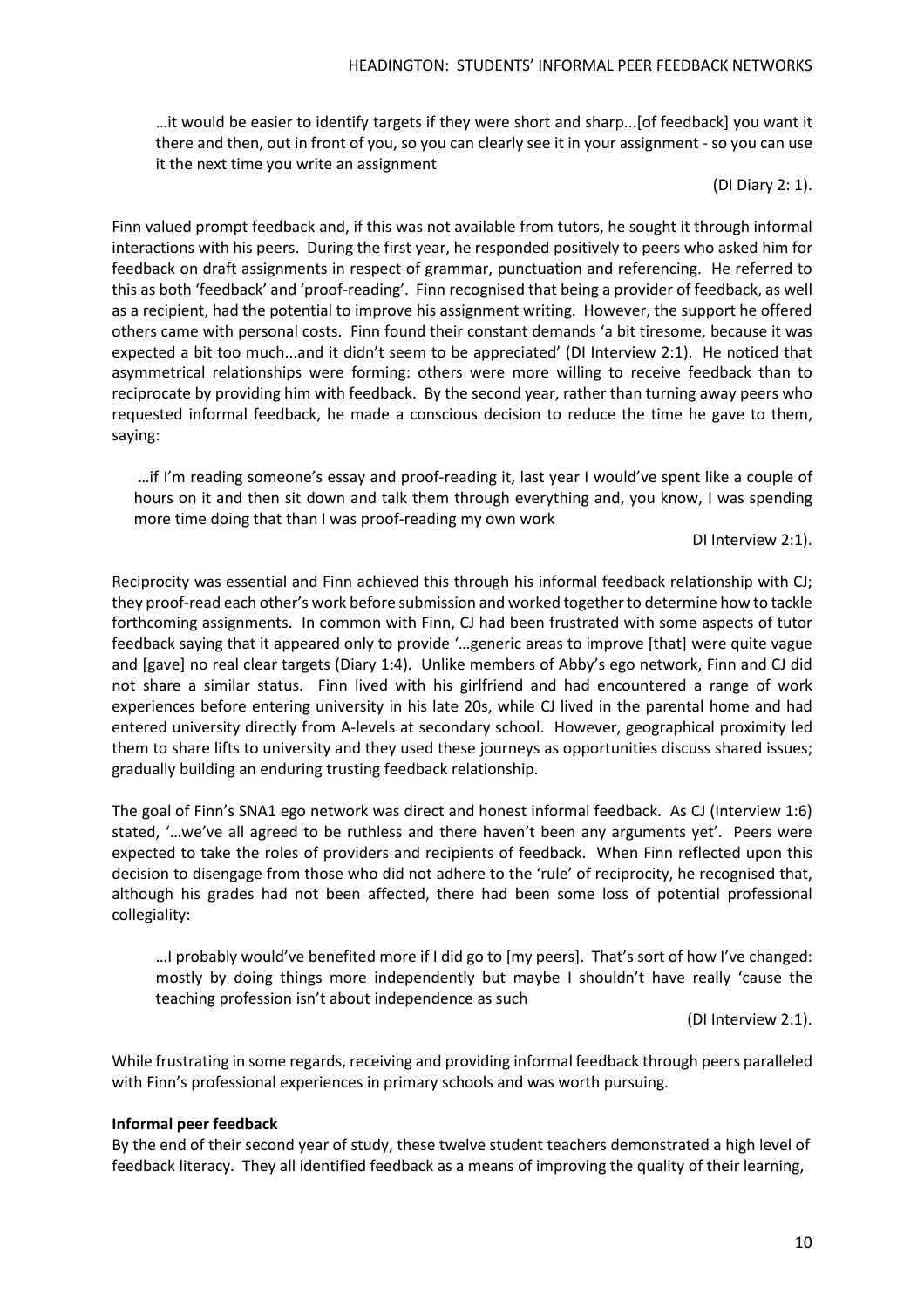…it would be easier to identify targets if they were short and sharp...[of feedback] you want it there and then, out in front of you, so you can clearly see it in your assignment - so you can use it the next time you write an assignment

#### (DI Diary 2: 1).

Finn valued prompt feedback and, if this was not available from tutors, he sought it through informal interactions with his peers. During the first year, he responded positively to peers who asked him for feedback on draft assignments in respect of grammar, punctuation and referencing. He referred to this as both 'feedback' and 'proof-reading'. Finn recognised that being a provider of feedback, as well as a recipient, had the potential to improve his assignment writing. However, the support he offered others came with personal costs. Finn found their constant demands 'a bit tiresome, because it was expected a bit too much...and it didn't seem to be appreciated' (DI Interview 2:1). He noticed that asymmetrical relationships were forming: others were more willing to receive feedback than to reciprocate by providing him with feedback. By the second year, rather than turning away peers who requested informal feedback, he made a conscious decision to reduce the time he gave to them, saying:

…if I'm reading someone's essay and proof-reading it, last year I would've spent like a couple of hours on it and then sit down and talk them through everything and, you know, I was spending more time doing that than I was proof-reading my own work

#### DI Interview 2:1).

Reciprocity was essential and Finn achieved this through his informal feedback relationship with CJ; they proof-read each other's work before submission and worked togetherto determine how to tackle forthcoming assignments. In common with Finn, CJ had been frustrated with some aspects of tutor feedback saying that it appeared only to provide '…generic areas to improve [that] were quite vague and [gave] no real clear targets (Diary 1:4). Unlike members of Abby's ego network, Finn and CJ did not share a similar status. Finn lived with his girlfriend and had encountered a range of work experiences before entering university in his late 20s, while CJ lived in the parental home and had entered university directly from A-levels at secondary school. However, geographical proximity led them to share lifts to university and they used these journeys as opportunities discuss shared issues; gradually building an enduring trusting feedback relationship.

The goal of Finn's SNA1 ego network was direct and honest informal feedback. As CJ (Interview 1:6) stated, '…we've all agreed to be ruthless and there haven't been any arguments yet'. Peers were expected to take the roles of providers and recipients of feedback. When Finn reflected upon this decision to disengage from those who did not adhere to the 'rule' of reciprocity, he recognised that, although his grades had not been affected, there had been some loss of potential professional collegiality:

…I probably would've benefited more if I did go to [my peers]. That's sort of how I've changed: mostly by doing things more independently but maybe I shouldn't have really 'cause the teaching profession isn't about independence as such

(DI Interview 2:1).

While frustrating in some regards, receiving and providing informal feedback through peers paralleled with Finn's professional experiences in primary schools and was worth pursuing.

## **Informal peer feedback**

By the end of their second year of study, these twelve student teachers demonstrated a high level of feedback literacy. They all identified feedback as a means of improving the quality of their learning,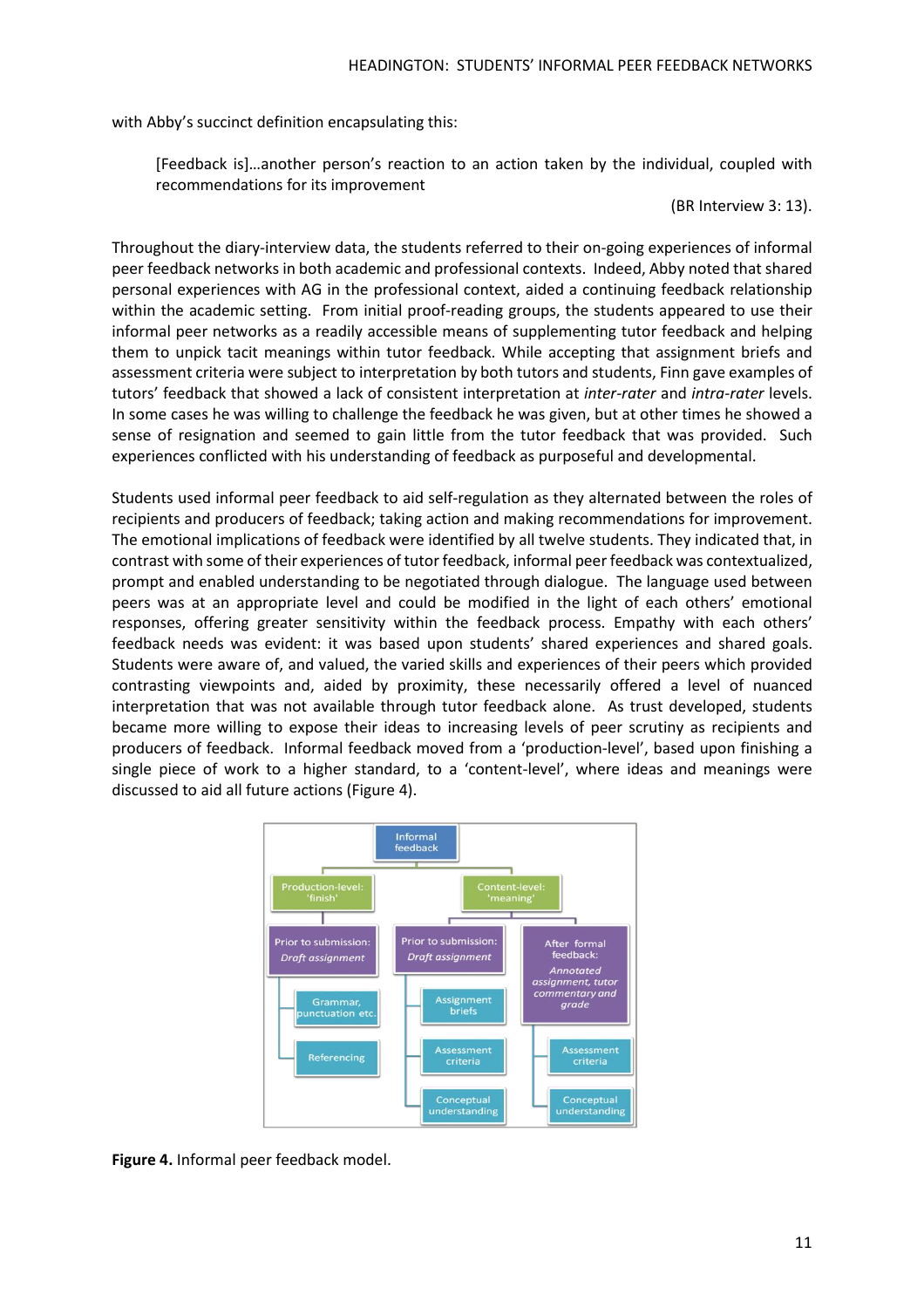with Abby's succinct definition encapsulating this:

[Feedback is]…another person's reaction to an action taken by the individual, coupled with recommendations for its improvement

#### (BR Interview 3: 13).

Throughout the diary-interview data, the students referred to their on-going experiences of informal peer feedback networks in both academic and professional contexts. Indeed, Abby noted that shared personal experiences with AG in the professional context, aided a continuing feedback relationship within the academic setting. From initial proof-reading groups, the students appeared to use their informal peer networks as a readily accessible means of supplementing tutor feedback and helping them to unpick tacit meanings within tutor feedback. While accepting that assignment briefs and assessment criteria were subject to interpretation by both tutors and students, Finn gave examples of tutors' feedback that showed a lack of consistent interpretation at *inter-rater* and *intra-rater* levels. In some cases he was willing to challenge the feedback he was given, but at other times he showed a sense of resignation and seemed to gain little from the tutor feedback that was provided. Such experiences conflicted with his understanding of feedback as purposeful and developmental.

Students used informal peer feedback to aid self-regulation as they alternated between the roles of recipients and producers of feedback; taking action and making recommendations for improvement. The emotional implications of feedback were identified by all twelve students. They indicated that, in contrast with some of their experiences of tutor feedback, informal peer feedback was contextualized, prompt and enabled understanding to be negotiated through dialogue. The language used between peers was at an appropriate level and could be modified in the light of each others' emotional responses, offering greater sensitivity within the feedback process. Empathy with each others' feedback needs was evident: it was based upon students' shared experiences and shared goals. Students were aware of, and valued, the varied skills and experiences of their peers which provided contrasting viewpoints and, aided by proximity, these necessarily offered a level of nuanced interpretation that was not available through tutor feedback alone. As trust developed, students became more willing to expose their ideas to increasing levels of peer scrutiny as recipients and producers of feedback. Informal feedback moved from a 'production-level', based upon finishing a single piece of work to a higher standard, to a 'content-level', where ideas and meanings were discussed to aid all future actions (Figure 4).



**Figure 4.** Informal peer feedback model.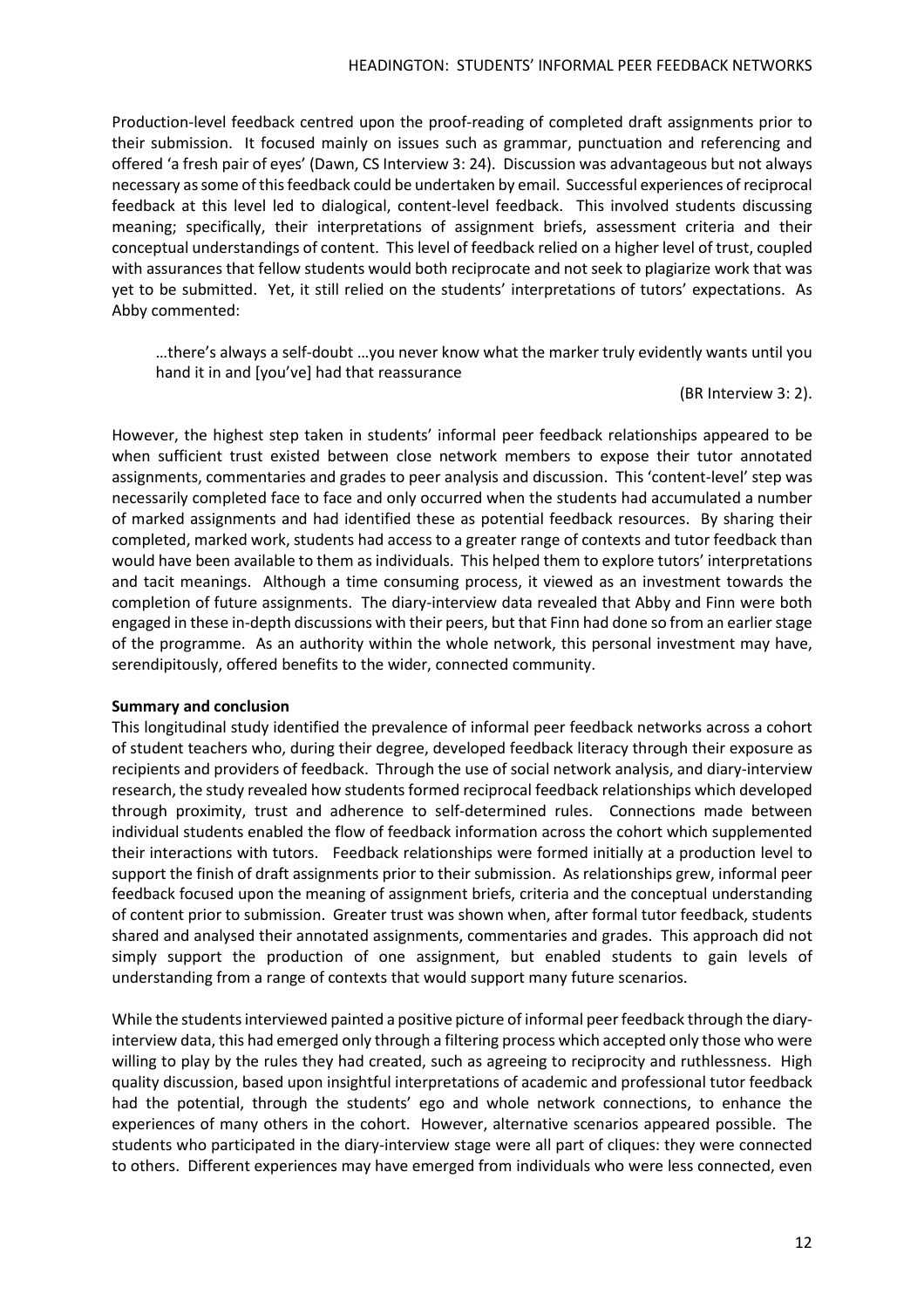Production-level feedback centred upon the proof-reading of completed draft assignments prior to their submission. It focused mainly on issues such as grammar, punctuation and referencing and offered 'a fresh pair of eyes' (Dawn, CS Interview 3: 24). Discussion was advantageous but not always necessary assome of thisfeedback could be undertaken by email. Successful experiences ofreciprocal feedback at this level led to dialogical, content-level feedback. This involved students discussing meaning; specifically, their interpretations of assignment briefs, assessment criteria and their conceptual understandings of content. This level of feedback relied on a higher level of trust, coupled with assurances that fellow students would both reciprocate and not seek to plagiarize work that was yet to be submitted. Yet, it still relied on the students' interpretations of tutors' expectations. As Abby commented:

…there's always a self-doubt …you never know what the marker truly evidently wants until you hand it in and [you've] had that reassurance

(BR Interview 3: 2).

However, the highest step taken in students' informal peer feedback relationships appeared to be when sufficient trust existed between close network members to expose their tutor annotated assignments, commentaries and grades to peer analysis and discussion. This 'content-level' step was necessarily completed face to face and only occurred when the students had accumulated a number of marked assignments and had identified these as potential feedback resources. By sharing their completed, marked work, students had access to a greater range of contexts and tutor feedback than would have been available to them as individuals. This helped them to explore tutors' interpretations and tacit meanings. Although a time consuming process, it viewed as an investment towards the completion of future assignments. The diary-interview data revealed that Abby and Finn were both engaged in these in-depth discussions with their peers, but that Finn had done so from an earlier stage of the programme. As an authority within the whole network, this personal investment may have, serendipitously, offered benefits to the wider, connected community.

## **Summary and conclusion**

This longitudinal study identified the prevalence of informal peer feedback networks across a cohort of student teachers who, during their degree, developed feedback literacy through their exposure as recipients and providers of feedback. Through the use of social network analysis, and diary-interview research, the study revealed how students formed reciprocal feedback relationships which developed through proximity, trust and adherence to self-determined rules. Connections made between individual students enabled the flow of feedback information across the cohort which supplemented their interactions with tutors. Feedback relationships were formed initially at a production level to support the finish of draft assignments prior to their submission. As relationships grew, informal peer feedback focused upon the meaning of assignment briefs, criteria and the conceptual understanding of content prior to submission. Greater trust was shown when, after formal tutor feedback, students shared and analysed their annotated assignments, commentaries and grades. This approach did not simply support the production of one assignment, but enabled students to gain levels of understanding from a range of contexts that would support many future scenarios.

While the students interviewed painted a positive picture of informal peer feedback through the diaryinterview data, this had emerged only through a filtering process which accepted only those who were willing to play by the rules they had created, such as agreeing to reciprocity and ruthlessness. High quality discussion, based upon insightful interpretations of academic and professional tutor feedback had the potential, through the students' ego and whole network connections, to enhance the experiences of many others in the cohort. However, alternative scenarios appeared possible. The students who participated in the diary-interview stage were all part of cliques: they were connected to others. Different experiences may have emerged from individuals who were less connected, even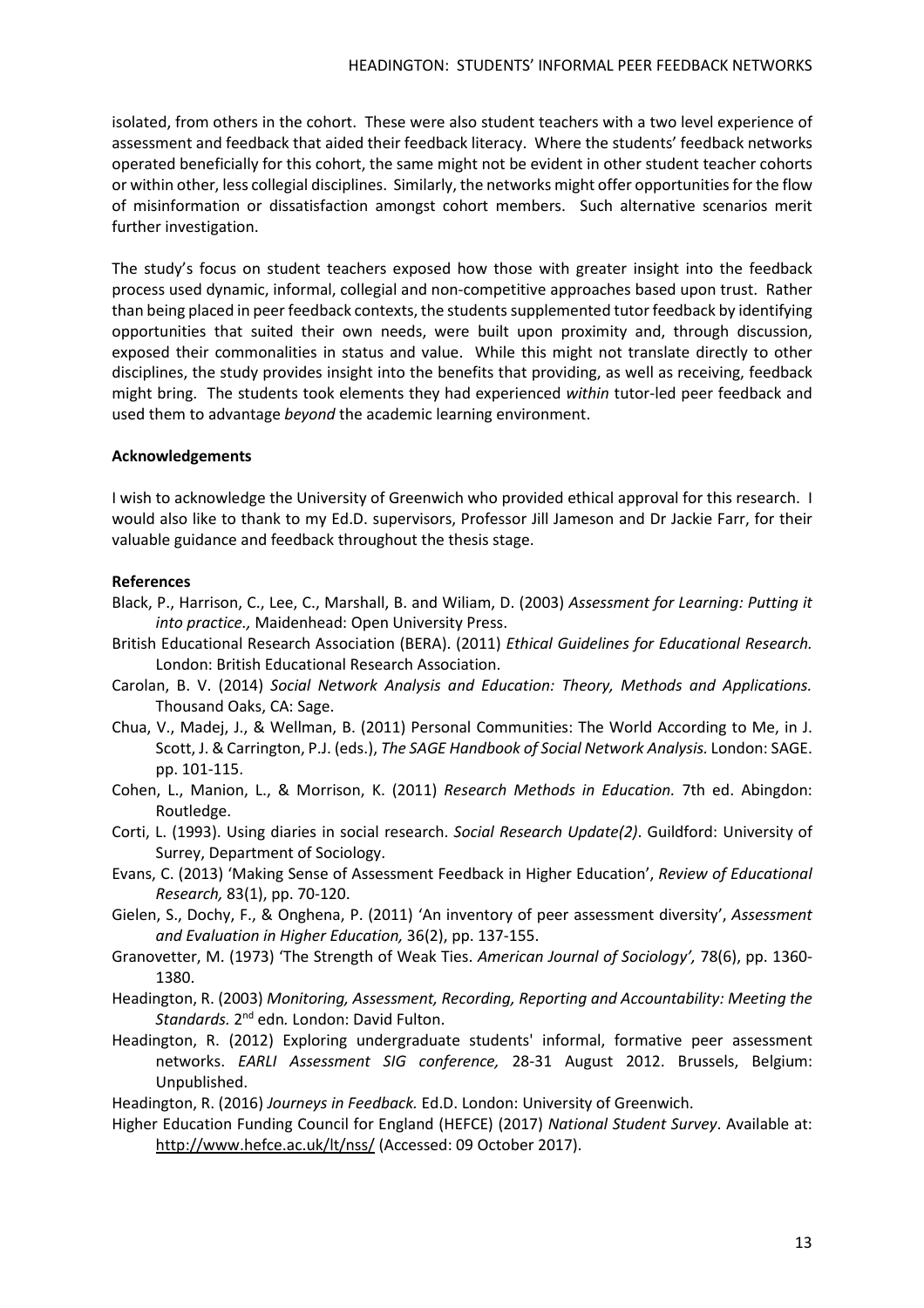isolated, from others in the cohort. These were also student teachers with a two level experience of assessment and feedback that aided their feedback literacy. Where the students' feedback networks operated beneficially for this cohort, the same might not be evident in other student teacher cohorts or within other, less collegial disciplines. Similarly, the networks might offer opportunitiesfor the flow of misinformation or dissatisfaction amongst cohort members. Such alternative scenarios merit further investigation.

The study's focus on student teachers exposed how those with greater insight into the feedback process used dynamic, informal, collegial and non-competitive approaches based upon trust. Rather than being placed in peer feedback contexts, the students supplemented tutor feedback by identifying opportunities that suited their own needs, were built upon proximity and, through discussion, exposed their commonalities in status and value. While this might not translate directly to other disciplines, the study provides insight into the benefits that providing, as well as receiving, feedback might bring. The students took elements they had experienced *within* tutor-led peer feedback and used them to advantage *beyond* the academic learning environment.

# **Acknowledgements**

I wish to acknowledge the University of Greenwich who provided ethical approval for this research. I would also like to thank to my Ed.D. supervisors, Professor Jill Jameson and Dr Jackie Farr, for their valuable guidance and feedback throughout the thesis stage.

# **References**

- Black, P., Harrison, C., Lee, C., Marshall, B. and Wiliam, D. (2003) *Assessment for Learning: Putting it into practice.,* Maidenhead: Open University Press.
- British Educational Research Association (BERA). (2011) *Ethical Guidelines for Educational Research.* London: British Educational Research Association.
- Carolan, B. V. (2014) *Social Network Analysis and Education: Theory, Methods and Applications.* Thousand Oaks, CA: Sage.
- Chua, V., Madej, J., & Wellman, B. (2011) Personal Communities: The World According to Me, in J. Scott, J. & Carrington, P.J. (eds.), *The SAGE Handbook of Social Network Analysis.* London: SAGE. pp. 101-115.
- Cohen, L., Manion, L., & Morrison, K. (2011) *Research Methods in Education.* 7th ed. Abingdon: Routledge.
- Corti, L. (1993). Using diaries in social research. *Social Research Update(2)*. Guildford: University of Surrey, Department of Sociology.
- Evans, C. (2013) 'Making Sense of Assessment Feedback in Higher Education', *Review of Educational Research,* 83(1), pp. 70-120.
- Gielen, S., Dochy, F., & Onghena, P. (2011) 'An inventory of peer assessment diversity', *Assessment and Evaluation in Higher Education,* 36(2), pp. 137-155.
- Granovetter, M. (1973) 'The Strength of Weak Ties. *American Journal of Sociology',* 78(6), pp. 1360- 1380.
- Headington, R. (2003) *Monitoring, Assessment, Recording, Reporting and Accountability: Meeting the Standards.* 2<sup>nd</sup> edn. London: David Fulton.
- Headington, R. (2012) Exploring undergraduate students' informal, formative peer assessment networks. *EARLI Assessment SIG conference,* 28-31 August 2012. Brussels, Belgium: Unpublished.
- Headington, R. (2016) *Journeys in Feedback.* Ed.D. London: University of Greenwich.
- Higher Education Funding Council for England (HEFCE) (2017) *National Student Survey*. Available at: <http://www.hefce.ac.uk/lt/nss/> (Accessed: 09 October 2017).